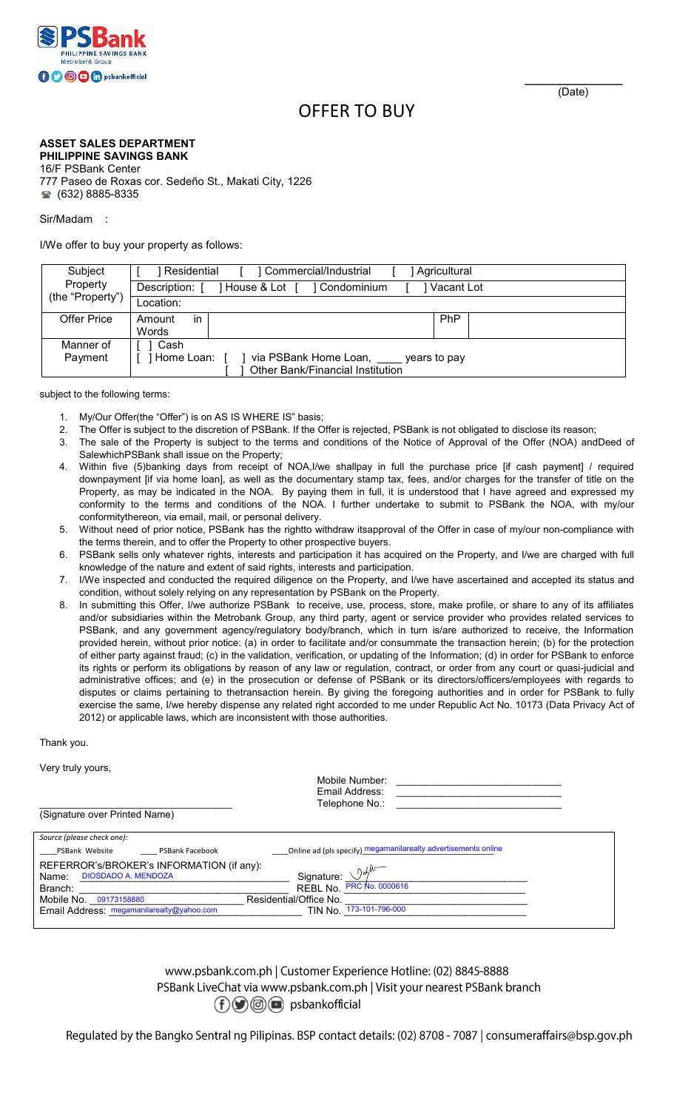

## OFFER TO BUY

## **ASSET SALES DEPARTMENT PHILIPPINE SAVINGS BANK**

16/F PSBank Center 777 Paseo de Roxas cor. Sedeño St., Makati City, 1226 **8885-8335** 

Sir/Madam :

I/We offer to buy your property as follows:

| Subject<br>Property | l Residential<br>Commercial/Industrial<br>Agricultural   |  |     |  |  |  |  |
|---------------------|----------------------------------------------------------|--|-----|--|--|--|--|
|                     | Vacant Lot<br>Description:<br>House & Lot<br>Condominium |  |     |  |  |  |  |
| (the "Property")    | Location:                                                |  |     |  |  |  |  |
| <b>Offer Price</b>  | Amount<br>in                                             |  | PhP |  |  |  |  |
|                     | Words                                                    |  |     |  |  |  |  |
| Manner of           | Cash                                                     |  |     |  |  |  |  |
| Payment             | via PSBank Home Loan,<br>Home Loan:<br>vears to pay      |  |     |  |  |  |  |
|                     | <b>Other Bank/Financial Institution</b>                  |  |     |  |  |  |  |

subject to the following terms:

- 1. My/Our Offer(the "Offer") is on AS IS WHERE IS" basis;
- 2. The Offer is subject to the discretion of PSBank. If the Offer is rejected, PSBank is not obligated to disclose its reason;
- 3. The sale of the Property is subject to the terms and conditions of the Notice of Approval of the Offer (NOA) andDeed of SalewhichPSBank shall issue on the Property;
- 4. Within five (5)banking days from receipt of NOA,I/we shallpay in full the purchase price [if cash payment] / required downpayment [if via home loan], as well as the documentary stamp tax, fees, and/or charges for the transfer of title on the Property, as may be indicated in the NOA. By paying them in full, it is understood that I have agreed and expressed my conformity to the terms and conditions of the NOA. I further undertake to submit to PSBank the NOA, with my/our conformitythereon, via email, mail, or personal delivery.
- 5. Without need of prior notice, PSBank has the rightto withdraw itsapproval of the Offer in case of my/our non-compliance with the terms therein, and to offer the Property to other prospective buyers.
- PSBank sells only whatever rights, interests and participation it has acquired on the Property, and I/we are charged with full knowledge of the nature and extent of said rights, interests and participation.
- 7. I/We inspected and conducted the required diligence on the Property, and I/we have ascertained and accepted its status and condition, without solely relying on any representation by PSBank on the Property.
- 8. In submitting this Offer, I/we authorize PSBank to receive, use, process, store, make profile, or share to any of its affiliates and/or subsidiaries within the Metrobank Group, any third party, agent or service provider who provides related services to PSBank, and any government agency/regulatory body/branch, which in turn is/are authorized to receive, the Information provided herein, without prior notice: (a) in order to facilitate and/or consummate the transaction herein; (b) for the protection of either party against fraud; (c) in the validation, verification, or updating of the Information; (d) in order for PSBank to enforce its rights or perform its obligations by reason of any law or regulation, contract, or order from any court or quasi-judicial and administrative offices; and (e) in the prosecution or defense of PSBank or its directors/officers/employees with regards to disputes or claims pertaining to thetransaction herein. By giving the foregoing authorities and in order for PSBank to fully exercise the same, I/we hereby dispense any related right accorded to me under Republic Act No. 10173 (Data Privacy Act of 2012) or applicable laws, which are inconsistent with those authorities.

Thank you.

Very truly yours,

|                                           | Mobile Number:<br>Email Address:                                |  |
|-------------------------------------------|-----------------------------------------------------------------|--|
| (Signature over Printed Name)             | Telephone No.:                                                  |  |
| Source (please check one):                |                                                                 |  |
| PSBank Website<br><b>PSBank Facebook</b>  | _Online ad (pls specify) megamanilarealty advertisements online |  |
| REFERROR's/BROKER's INFORMATION (if any): |                                                                 |  |
| <b>DIOSDADO A. MENDOZA</b><br>Name:       | Signature:                                                      |  |
| Branch:                                   | PRC No. 0000616<br>REBL No.                                     |  |
| Mobile No. 09173158880                    | Residential/Office No.                                          |  |
| Email Address: megamanilarealty@yahoo.com | TIN No. 173-101-796-000                                         |  |

www.psbank.com.ph | Customer Experience Hotline: (02) 8845-8888 PSBank LiveChat via www.psbank.com.ph | Visit your nearest PSBank branch  $(f)$   $\circledcirc$   $\circledcirc$  psbankofficial

Regulated by the Bangko Sentral ng Pilipinas. BSP contact details: (02) 8708 - 7087 | consumeraffairs@bsp.gov.ph

(Date)

 **\_\_\_\_\_\_\_\_\_\_\_\_\_\_\_\_**